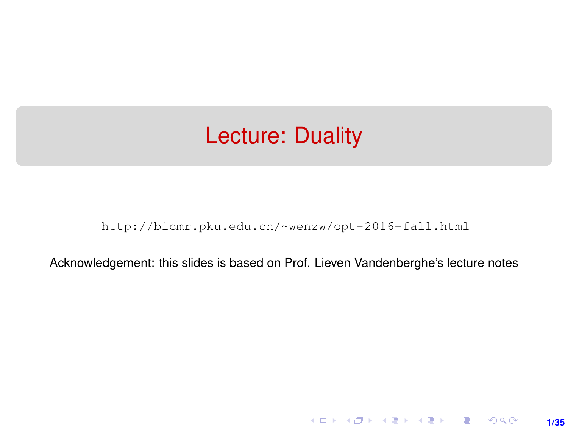## <span id="page-0-0"></span>Lecture: Duality

[http://bicmr.pku.edu.cn/~wenzw/opt-2016-fall.html](http://bicmr.pku.edu.cn/~wenzw/opt-2016-fall.html )

Acknowledgement: this slides is based on Prof. Lieven Vandenberghe's lecture notes

**1/35**

K ロ ▶ K 레 ▶ K 호 ▶ K 호 ▶ → 호 → 900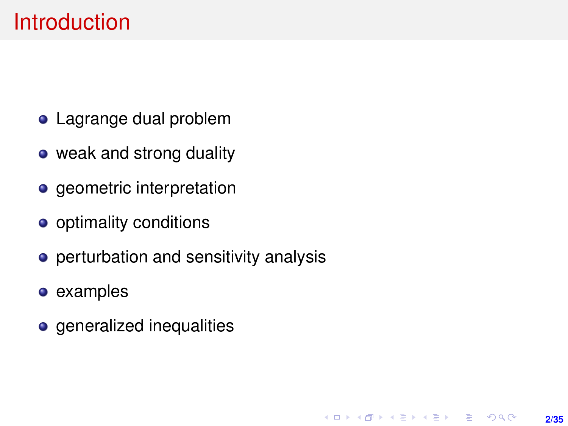## Introduction

- Lagrange dual problem
- weak and strong duality
- geometric interpretation
- optimality conditions
- **•** perturbation and sensitivity analysis
- examples
- **o** generalized inequalities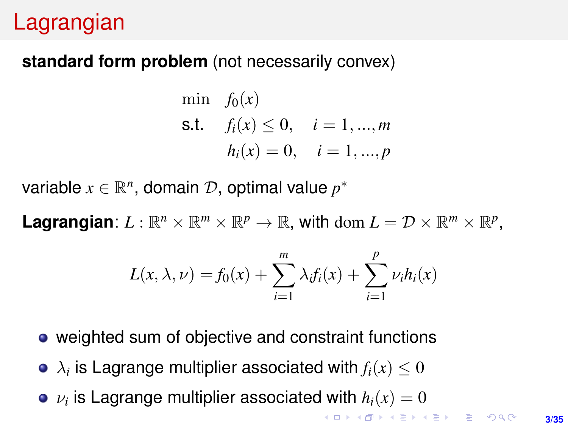## Lagrangian

### **standard form problem** (not necessarily convex)

min 
$$
f_0(x)
$$
  
\n**s.t.**  $f_i(x) \le 0$ ,  $i = 1, ..., m$   
\n $h_i(x) = 0$ ,  $i = 1, ..., p$ 

variable  $x \in \mathbb{R}^n$ , domain  $\mathcal{D}$ , optimal value  $p^*$ 

Lagrangian:  $L : \mathbb{R}^n \times \mathbb{R}^m \times \mathbb{R}^p \to \mathbb{R}$ , with dom  $L = \mathcal{D} \times \mathbb{R}^m \times \mathbb{R}^p$ ,

$$
L(x, \lambda, \nu) = f_0(x) + \sum_{i=1}^{m} \lambda_i f_i(x) + \sum_{i=1}^{p} \nu_i h_i(x)
$$

- weighted sum of objective and constraint functions
- $\lambda_i$  is Lagrange multiplier associated with  $f_i(x) \leq 0$
- $\nu_i$  is Lagrange multiplier associated with  $h_i(x)=0$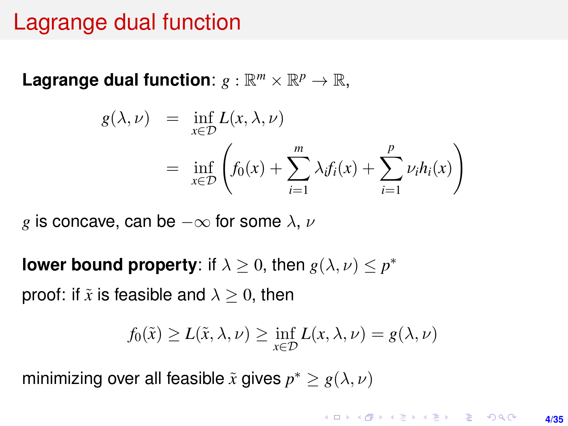## <span id="page-3-0"></span>Lagrange dual function

Lagrange dual function:  $g : \mathbb{R}^m \times \mathbb{R}^p \to \mathbb{R}$ ,

$$
g(\lambda, \nu) = \inf_{x \in \mathcal{D}} L(x, \lambda, \nu)
$$
  
= 
$$
\inf_{x \in \mathcal{D}} \left( f_0(x) + \sum_{i=1}^m \lambda_i f_i(x) + \sum_{i=1}^p \nu_i h_i(x) \right)
$$

*g* is concave, can be  $-\infty$  for some  $\lambda$ ,  $\nu$ 

**lower bound property**: if  $\lambda \geq 0$ , then  $g(\lambda, \nu) \leq p^*$ 

proof: if  $\tilde{x}$  is feasible and  $\lambda > 0$ , then

$$
f_0(\tilde{x}) \ge L(\tilde{x}, \lambda, \nu) \ge \inf_{x \in \mathcal{D}} L(x, \lambda, \nu) = g(\lambda, \nu)
$$

minimizing over all feasible  $\tilde{x}$  gives  $p^* \geq g(\lambda, \nu)$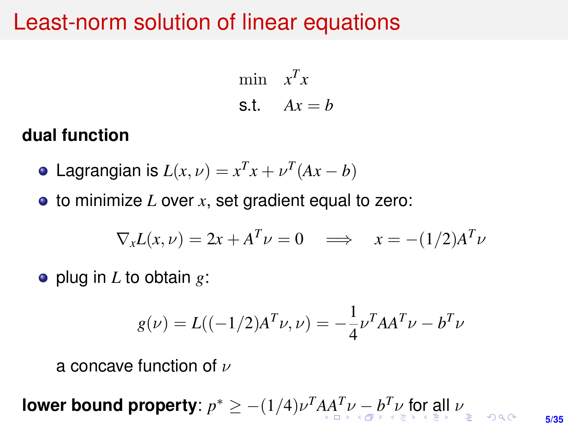## <span id="page-4-0"></span>Least-norm solution of linear equations

$$
\begin{aligned}\n\min \quad & x^T x \\
\text{s.t.} \quad & Ax = b\n\end{aligned}
$$

### **dual function**

- Lagrangian is  $L(x, \nu) = x^T x + \nu^T (Ax b)$
- to minimize *L* over *x*, set gradient equal to zero:

$$
\nabla_x L(x,\nu) = 2x + A^T \nu = 0 \implies x = -(1/2)A^T \nu
$$

plug in *L* to obtain *g*:

$$
g(\nu) = L((-1/2)A^T \nu, \nu) = -\frac{1}{4} \nu^T A A^T \nu - b^T \nu
$$

a concave function of  $\nu$ 

**5/35 lower [b](#page-5-0)ound property**:  $p^* \ge -(1/4)\nu^T A A^T \nu - b^T \nu$  [fo](#page-34-0)[r](#page-0-0) [all](#page-34-0)  $\nu$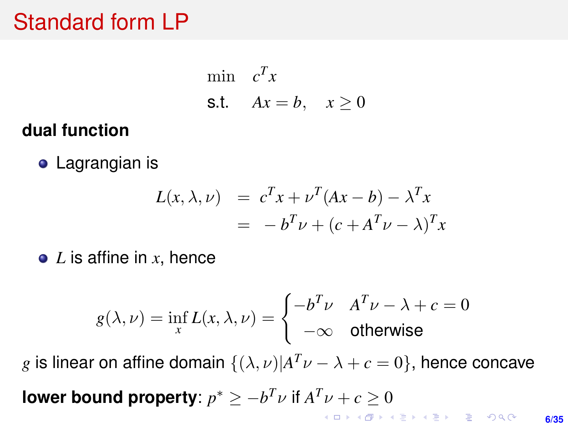# <span id="page-5-0"></span>Standard form LP

$$
\begin{array}{ll}\text{min} & c^T x\\ \text{s.t.} & Ax = b, \quad x \ge 0 \end{array}
$$

## **dual function**

**•** Lagrangian is

$$
L(x, \lambda, \nu) = c^T x + \nu^T (Ax - b) - \lambda^T x
$$
  
= 
$$
-b^T \nu + (c + A^T \nu - \lambda)^T x
$$

*L* is affine in *x*, hence

$$
g(\lambda, \nu) = \inf_{x} L(x, \lambda, \nu) = \begin{cases} -b^T \nu & A^T \nu - \lambda + c = 0 \\ -\infty & \text{otherwise} \end{cases}
$$

*g* is linear on affine domain  $\{(\lambda, \nu)|A^T\nu - \lambda + c = 0\}$ , hence concave **lower bound property**:  $p^* \ge -b^T \nu$  if  $A^T \nu + c \ge 0$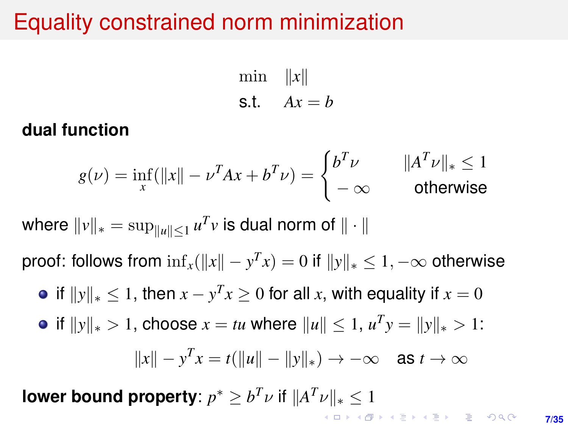# <span id="page-6-0"></span>Equality constrained norm minimization

min  $||x||$ s.t.  $Ax = b$ 

### **dual function**

$$
g(\nu) = \inf_{x} (\|x\| - \nu^T A x + b^T \nu) = \begin{cases} b^T \nu & \|A^T \nu\|_* \le 1\\ -\infty & \text{otherwise} \end{cases}
$$

where  $\|v\|_* = \sup_{\|u\| \leq 1} u^T v$  is dual norm of  $\|\cdot\|$ 

proof: follows from  $\inf_x (\|x\| - y^T x) = 0$  if  $\|y\|_* \le 1, -\infty$  otherwise

if  $||y||_* \le 1$ , then  $x - y^T x \ge 0$  for all *x*, with equality if  $x = 0$ 

• if 
$$
||y||_* > 1
$$
, choose  $x = tu$  where  $||u|| \le 1$ ,  $u^T y = ||y||_* > 1$ :

$$
||x|| - y^T x = t(||u|| - ||y||_*) \rightarrow -\infty \quad \text{as } t \rightarrow \infty
$$

**lower bound property**:  $p^* \geq b^T \nu$  if  $||A^T \nu||_* \leq 1$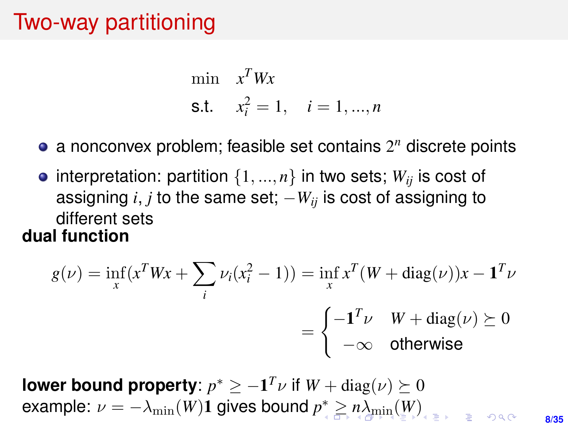# <span id="page-7-0"></span>Two-way partitioning

min 
$$
x^T W x
$$
  
\n**s.t.**  $x_i^2 = 1$ ,  $i = 1, ..., n$ 

- a nonconvex problem; feasible set contains 2 *<sup>n</sup>* discrete points
- interpretation: partition  $\{1, ..., n\}$  in two sets;  $W_{ii}$  is cost of assigning  $i, j$  to the same set;  $-W_{ii}$  is cost of assigning to different sets **dual function**

$$
g(\nu) = \inf_{x} (x^T W x + \sum_{i} \nu_i (x_i^2 - 1)) = \inf_{x} x^T (W + \text{diag}(\nu)) x - \mathbf{1}^T \nu
$$

$$
= \begin{cases} -\mathbf{1}^T \nu & W + \text{diag}(\nu) \succeq 0 \\ -\infty & \text{otherwise} \end{cases}
$$

**lower bound property:**  $p^* \ge -\mathbf{1}^T \nu$  if  $W + \text{diag}(\nu) \succeq 0$  $\mathsf{example}\colon \nu=-\lambda_{\min}(W)$  $\mathsf{example}\colon \nu=-\lambda_{\min}(W)$  $\mathsf{example}\colon \nu=-\lambda_{\min}(W)$  $\mathsf{example}\colon \nu=-\lambda_{\min}(W)$  $\mathsf{example}\colon \nu=-\lambda_{\min}(W)$  $\mathsf{example}\colon \nu=-\lambda_{\min}(W)$  $\mathsf{example}\colon \nu=-\lambda_{\min}(W)$  $\mathsf{example}\colon \nu=-\lambda_{\min}(W)$  $\mathsf{example}\colon \nu=-\lambda_{\min}(W)$  $\mathsf{example}\colon \nu=-\lambda_{\min}(W)$  $\mathsf{example}\colon \nu=-\lambda_{\min}(W)$  $\mathsf{example}\colon \nu=-\lambda_{\min}(W)$ 1 gives bound  $p^*\geq n\lambda_{\min}(W)$  $rac{1}{2}$ 

**8/35**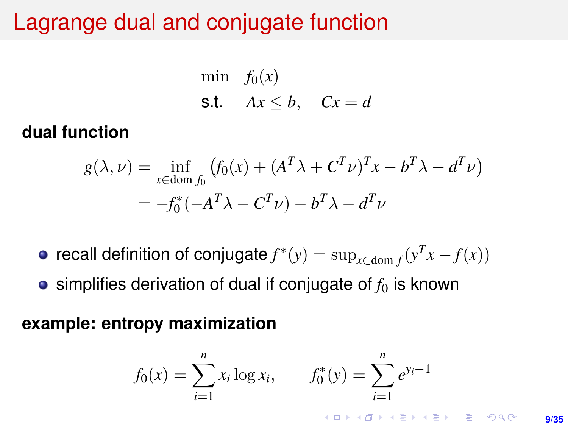## <span id="page-8-0"></span>Lagrange dual and conjugate function

$$
\begin{array}{ll}\text{min} & f_0(x) \\ \text{s.t.} & Ax \leq b, \quad Cx = d \end{array}
$$

### **dual function**

$$
g(\lambda, \nu) = \inf_{x \in \text{dom } f_0} (f_0(x) + (A^T \lambda + C^T \nu)^T x - b^T \lambda - d^T \nu)
$$
  
= 
$$
-f_0^*(-A^T \lambda - C^T \nu) - b^T \lambda - d^T \nu
$$

- recall definition of conjugate  $f^*(y) = \sup_{x \in \text{dom } f} (y^T x f(x))$
- $\bullet$  simplifies derivation of dual if conjugate of  $f_0$  is known

### **example: entropy maximization**

$$
f_0(x) = \sum_{i=1}^n x_i \log x_i, \qquad f_0^*(y) = \sum_{i=1}^n e^{y_i - 1}
$$

**KORKAR KERKER EL KORCH**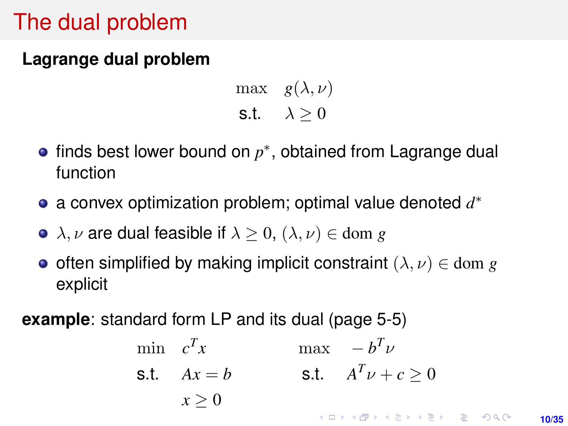# The dual problem

## **Lagrange dual problem**

max  $g(\lambda, \nu)$ s.t.  $\lambda > 0$ 

- finds best lower bound on  $p^*$ , obtained from Lagrange dual function
- a convex optimization problem; optimal value denoted *d* ∗
- $\lambda, \nu$  are dual feasible if  $\lambda > 0$ ,  $(\lambda, \nu) \in$  dom *g*
- **o** often simplified by making implicit constraint  $(\lambda, \nu) \in \text{dom } g$ explicit

**example**: standard form LP and its dual (page 5-5)

min  $c^T x$  $\max$  –  $b^T \nu$ s.t.  $A^T \nu + c \ge 0$ s.t.  $Ax = b$  $x > 0$ **KORKAR KERKER E VOOR 10/35**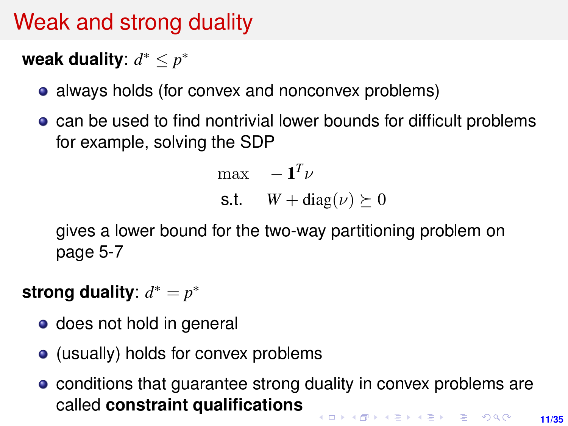# Weak and strong duality

# weak duality:  $d^* \leq p^*$

- always holds (for convex and nonconvex problems)
- **•** can be used to find nontrivial lower bounds for difficult problems for example, solving the SDP

$$
\begin{array}{ll}\n\max & -\mathbf{1}^T \nu\\ \n\text{s.t.} & W + \text{diag}(\nu) \succeq 0\n\end{array}
$$

gives a lower bound for the two-way partitioning problem on page 5-7

strong duality:  $d^* = p^*$ 

- does not hold in general
- (usually) holds for convex problems
- conditions that guarantee strong duality in convex problems are called **constraint qualificationsKORKAR KERKER E DAG 11/35**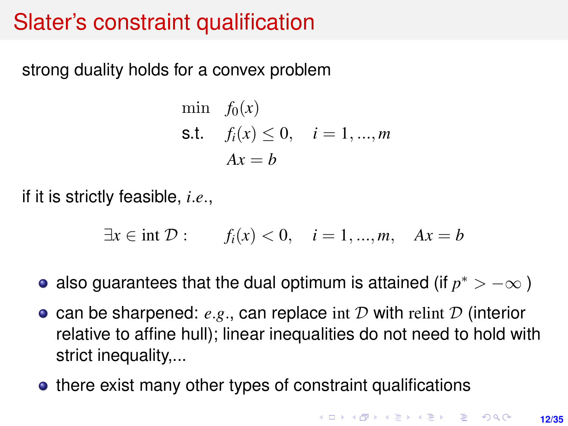# Slater's constraint qualification

strong duality holds for a convex problem

min 
$$
f_0(x)
$$
  
\n**s.t.**  $f_i(x) \le 0$ ,  $i = 1, ..., m$   
\n $Ax = b$ 

if it is strictly feasible, *i*.*e*.,

$$
\exists x \in \text{int } \mathcal{D} : \qquad f_i(x) < 0, \quad i = 1, \dots, m, \quad Ax = b
$$

- also guarantees that the dual optimum is attained (if  $p^* > -\infty$  )
- can be sharpened: *e*.*g*., can replace int D with relint D (interior relative to affine hull); linear inequalities do not need to hold with strict inequality,...
- there exist many other types of constraint qualifications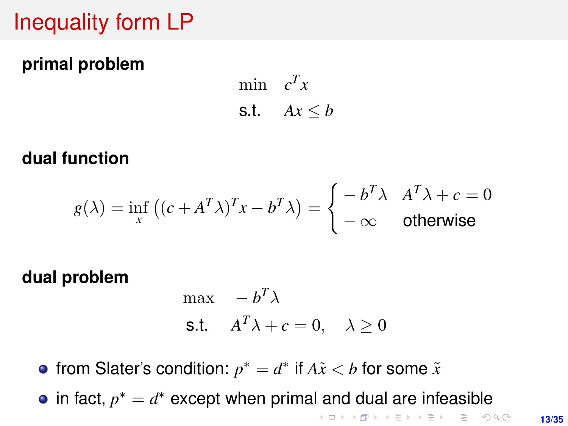# Inequality form LP

### **primal problem**

min  $c^T x$ s.t.  $Ax \leq b$ 

### **dual function**

$$
g(\lambda) = \inf_{x} ((c + A^{T} \lambda)^{T} x - b^{T} \lambda) = \begin{cases} -b^{T} \lambda & A^{T} \lambda + c = 0\\ -\infty & \text{otherwise} \end{cases}
$$

#### **dual problem**

$$
\begin{aligned}\n\max & -b^T \lambda \\
\text{s.t.} & A^T \lambda + c = 0, \quad \lambda \ge 0\n\end{aligned}
$$

from Slater's condition:  $p^* = d^*$  if  $A\tilde{x} < b$  for some  $\tilde{x}$ in fact,  $p^* = d^*$  except when primal and dual are infeasible **KORKARK A BIK BIKA A GA A GA A GA A BIKA A BIKA A BIKA A BIKA A BIKA A BIKA A BIKA A BIKA A BIKA A BIKA A BIKA**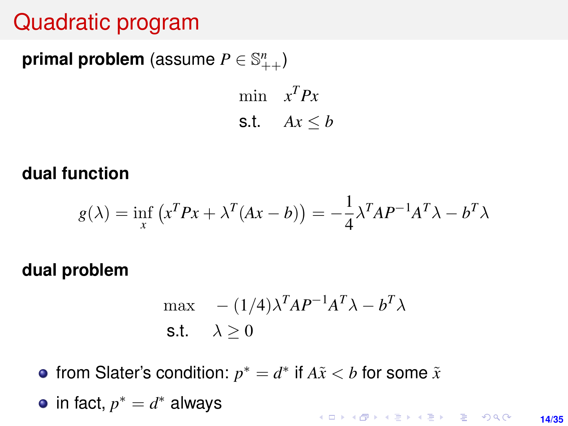# <span id="page-13-0"></span>Quadratic program

# $\mathsf{primal} \ \mathsf{problem} \ (\mathsf{assume} \ P \in \mathbb{S}^n_{++})$

min  $x^T P x$ s.t.  $Ax \leq b$ 

#### **dual function**

$$
g(\lambda) = \inf_{x} (x^T P x + \lambda^T (Ax - b)) = -\frac{1}{4} \lambda^T A P^{-1} A^T \lambda - b^T \lambda
$$

#### **dual problem**

$$
\max - (1/4)\lambda^T A P^{-1} A^T \lambda - b^T \lambda
$$
  
s.t.  $\lambda \ge 0$ 

from Slater's condition:  $p^* = d^*$  if  $A\tilde{x} < b$  for some  $\tilde{x}$ 

• in fact, 
$$
p^* = d^*
$$
 always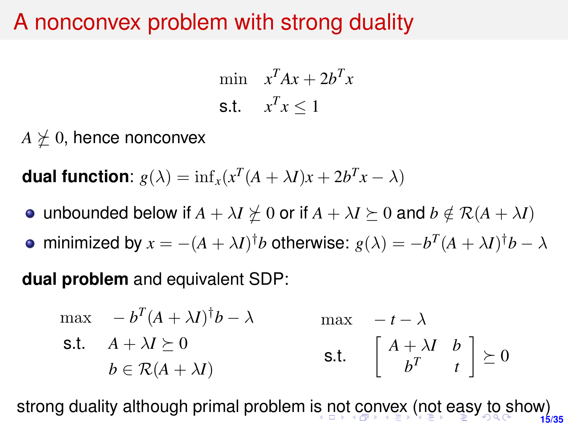## <span id="page-14-0"></span>A nonconvex problem with strong duality

$$
\begin{aligned}\n\min \quad & x^T A x + 2b^T x \\
\text{s.t.} \quad & x^T x \le 1\n\end{aligned}
$$

 $A \not\succeq 0$ , hence nonconvex

**dual function**:  $g(\lambda) = \inf_x(x^T(A + \lambda I)x + 2b^T x - \lambda)$ 

- unbounded below if  $A + \lambda I \not\geq 0$  or if  $A + \lambda I \succeq 0$  and  $b \notin \mathcal{R}(A + \lambda I)$
- minimized by  $x = -(A + \lambda I)^{\dagger}b$  otherwise:  $g(\lambda) = -b^T(A + \lambda I)^{\dagger}b \lambda$

**dual problem** and equivalent SDP:

$$
\begin{array}{ll}\n\max & -b^T (A + \lambda I)^{\dagger} b - \lambda & \max & -t - \lambda \\
\text{s.t.} & A + \lambda I \succeq 0 & \text{s.t.} \quad \begin{bmatrix} A + \lambda I & b \\ b^T & t \end{bmatrix} \succeq 0\n\end{array}
$$

**15/35** strong duality although primal problem i[s n](#page-13-0)[ot](#page-34-0)[co](#page-14-0)[n](#page-15-0)[ve](#page-0-0)[x](#page-34-0) [\(n](#page-0-0)ot [ea](#page-0-0)[sy](#page-34-0) to show)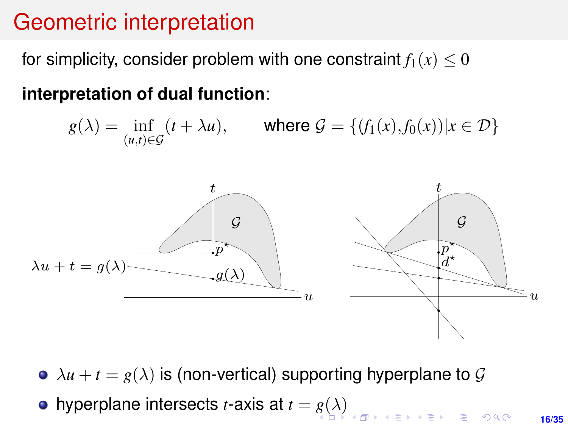#### <span id="page-15-0"></span>Geometric interpretation  $G(x)$

for simplicity, consider problem with one constraint  $f_1(x) \leq 0$ 

interpretation of dual function:

 $g(\lambda) = \inf_{(u,t) \in \mathcal{G}} (t + \lambda u),$  where  $\mathcal{G} = \{ (f_1(x), f_0(x)) | x \in \mathcal{D} \}$ 



 $\lambda u + t = g(\lambda)$  is (non-vertical) supporting hyperplane to G

hyperplane intersects *t*-axis at  $t = g(\lambda)$  $t = g(\lambda)$  $t = g(\lambda)$  $t = g(\lambda)$ 

**16/35**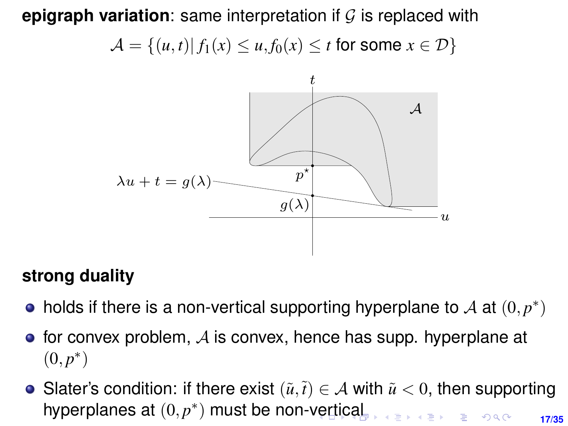<span id="page-16-0"></span> $\mathsf{epigraph}$  variation: same interpretation if  $\mathcal G$  is replaced with  $\mathcal{A} = \{(u, t) | f_1(x) \leq u, f_0(x) \leq t \text{ for some } x \in \mathcal{D}\}$ 



# strong duality **strong duality**

- holds if there is a non-vertical supporting hyperplane to  ${\mathcal A}$  at  $(0,p^*)$
- for convex problem,  ${\cal A}$  is convex, hence has supp. hyperplane at  $(0, \stackrel{*}{\phantom{}_{\sim}})$ • Slater's condition: if there exist (˜u,t˜) ∈ A with u <˜ <sup>0</sup>, then supporting  $(0, p^*)$
- Slater's condition: if there exist  $(\tilde{u}, \tilde{t}) \in A$  with  $\tilde{u} < 0$ , then supporting hyperpl[a](#page-15-0)nes at  $(0, p^*)$  must be non-[ve](#page-15-0)r[tic](#page-17-0)a[l](#page-16-0) KERKER E DAG **17/35**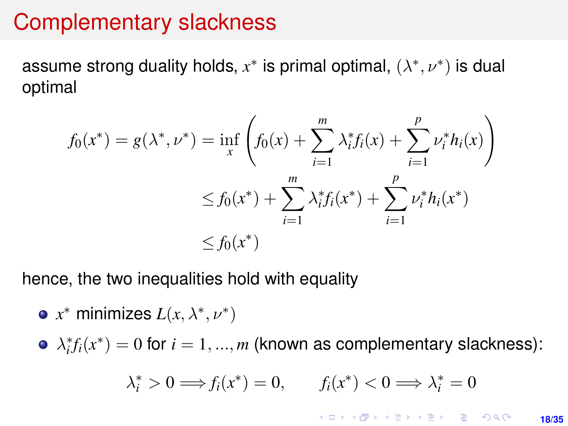## <span id="page-17-0"></span>Complementary slackness

assume strong duality holds,  $x^*$  is primal optimal,  $(\lambda^*, \nu^*)$  is dual optimal

$$
f_0(x^*) = g(\lambda^*, \nu^*) = \inf_{x} \left( f_0(x) + \sum_{i=1}^m \lambda_i^* f_i(x) + \sum_{i=1}^p \nu_i^* h_i(x) \right)
$$
  

$$
\leq f_0(x^*) + \sum_{i=1}^m \lambda_i^* f_i(x^*) + \sum_{i=1}^p \nu_i^* h_i(x^*)
$$
  

$$
\leq f_0(x^*)
$$

hence, the two inequalities hold with equality

• 
$$
x^*
$$
 minimizes  $L(x, \lambda^*, \nu^*)$ 

 $\lambda_i^* f_i(x^*) = 0$  for  $i = 1, ..., m$  (known as complementary slackness):

$$
\lambda_i^* > 0 \Longrightarrow f_i(x^*) = 0, \qquad f_i(x^*) < 0 \Longrightarrow \lambda_i^* = 0
$$

**K ロ X (日) X 제공 X 제공 X 기공 및 X X 이익(N) 18/35**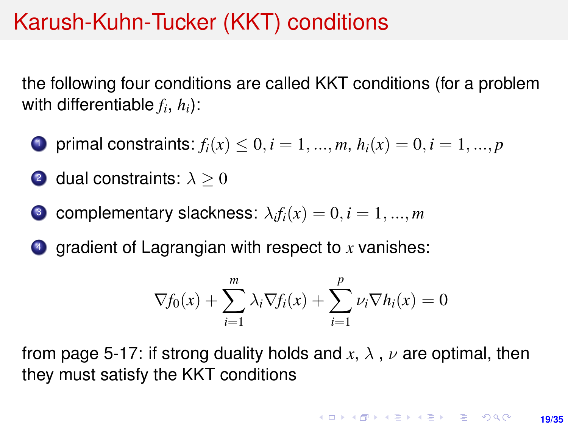## Karush-Kuhn-Tucker (KKT) conditions

the following four conditions are called KKT conditions (for a problem with differentiable  $f_i$ ,  $h_i$ ):

- 1 primal constraints:  $f_i(x) \le 0, i = 1, ..., m, h_i(x) = 0, i = 1, ..., p$
- 2 dual constraints:  $\lambda > 0$
- $\bullet$  complementary slackness:  $\lambda_i f_i(x) = 0, i = 1, ..., m$
- <sup>4</sup> gradient of Lagrangian with respect to *x* vanishes:

$$
\nabla f_0(x) + \sum_{i=1}^m \lambda_i \nabla f_i(x) + \sum_{i=1}^p \nu_i \nabla h_i(x) = 0
$$

from page 5-17: if strong duality holds and  $x, \lambda, \nu$  are optimal, then they must satisfy the KKT conditions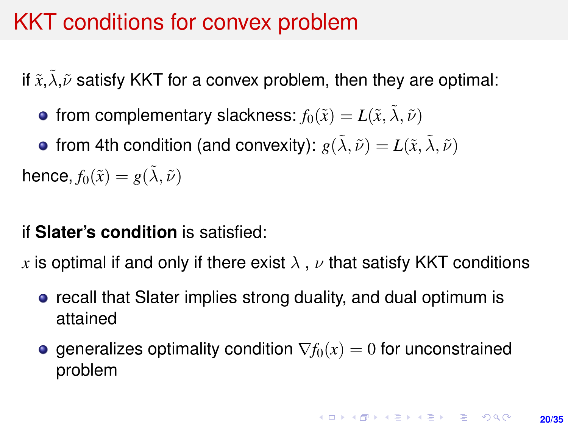## <span id="page-19-0"></span>KKT conditions for convex problem

if  $\tilde{x}$ ,  $\tilde{\lambda}$ ,  $\tilde{\nu}$  satisfy KKT for a convex problem, then they are optimal:

• from complementary slackness:  $f_0(\tilde{x}) = L(\tilde{x}, \tilde{\lambda}, \tilde{\nu})$ 

• from 4th condition (and convexity):  $g(\tilde{\lambda}, \tilde{\nu}) = L(\tilde{x}, \tilde{\lambda}, \tilde{\nu})$ hence,  $f_0(\tilde{x}) = g(\tilde{\lambda}, \tilde{\nu})$ 

### if **Slater's condition** is satisfied:

*x* is optimal if and only if there exist  $\lambda$ ,  $\nu$  that satisfy KKT conditions

- **•** recall that Slater implies strong duality, and dual optimum is attained
- **e** generalizes optimality condition  $\nabla f_0(x) = 0$  for unconstrained problem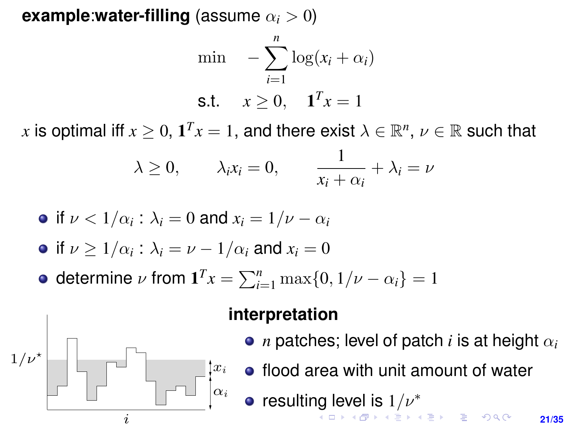<span id="page-20-0"></span>**example:water-filling** (assume  $\alpha_i > 0$ )

$$
\begin{aligned}\n\min \quad & -\sum_{i=1}^{n} \log(x_i + \alpha_i) \\
\text{s.t.} \quad & x \ge 0, \quad \mathbf{1}^T x = 1\n\end{aligned}
$$

*x* is optimal iff  $x \geq 0$ ,  $\mathbf{1}^T x = 1$ , and there exist  $\lambda \in \mathbb{R}^n$ ,  $\nu \in \mathbb{R}$  such that

$$
\lambda \ge 0
$$
,  $\lambda_i x_i = 0$ ,  $\frac{1}{x_i + \alpha_i} + \lambda_i = \nu$ 

• if 
$$
\nu < 1/\alpha_i
$$
:  $\lambda_i = 0$  and  $x_i = 1/\nu - \alpha_i$ 

• if 
$$
\nu \ge 1/\alpha_i : \lambda_i = \nu - 1/\alpha_i
$$
 and  $x_i = 0$ 

**•** determine  $\nu$  from  $\mathbf{1}^T x = \sum_{i=1}^n \max\{0, 1/\nu - \alpha_i\} = 1$ 



#### **interpretation**

- $\bullet$  *n* patches; level of patch *i* is at height  $\alpha_i$
- flood area with unit amount of water
- resulti[ng](#page-19-0) l[e](#page-21-0)[v](#page-19-0)[el](#page-20-0) [is](#page-21-0)  $1/\nu^*$  $1/\nu^*$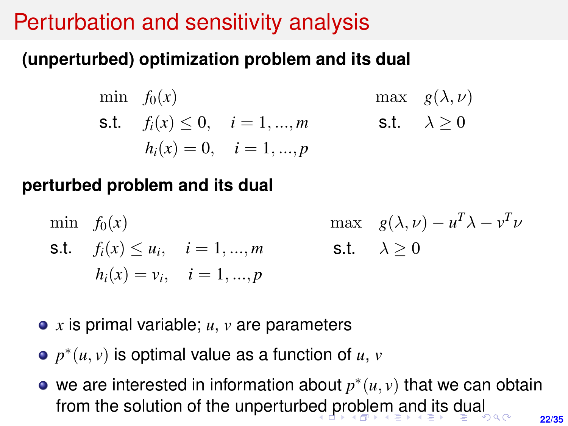# <span id="page-21-0"></span>Perturbation and sensitivity analysis

## **(unperturbed) optimization problem and its dual**

$$
\begin{aligned}\n\min \quad & f_0(x) & \max \quad & g(\lambda, \nu) \\
\text{s.t.} \quad & f_i(x) \le 0, \quad i = 1, \dots, m & \text{s.t.} \quad & \lambda \ge 0 \\
& h_i(x) = 0, \quad i = 1, \dots, p\n\end{aligned}
$$

### **perturbed problem and its dual**

- min  $f_0(x)$ s.t.  $f_i(x) \leq u_i, \quad i = 1, ..., m$  $h_i(x) = v_i, \quad i = 1, ..., p$ max  $g(\lambda, \nu) - u^T \lambda - v^T \nu$ s.t.  $\lambda > 0$
- *x* is primal variable; *u*, *v* are parameters
- $p^*(u, v)$  is optimal value as a function of  $u, v$
- **22/35** we are interested in information about  $p^*(u, v)$  that we can obtain from the solution of the unperturb[ed](#page-20-0) [pr](#page-22-0)[o](#page-20-0)[bl](#page-21-0)[e](#page-22-0)[m](#page-0-0) [an](#page-34-0)[d](#page-0-0) [its](#page-34-0) [d](#page-0-0)[ua](#page-34-0)l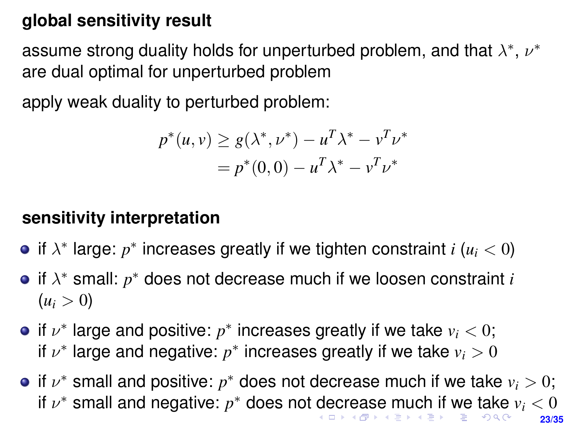### <span id="page-22-0"></span>**global sensitivity result**

assume strong duality holds for unperturbed problem, and that  $\lambda^*,\,\nu^*$ are dual optimal for unperturbed problem

apply weak duality to perturbed problem:

$$
p^*(u, v) \ge g(\lambda^*, \nu^*) - u^T \lambda^* - v^T \nu^*
$$
  
=  $p^*(0, 0) - u^T \lambda^* - v^T \nu^*$ 

#### **sensitivity interpretation**

- if  $\lambda^*$  large:  $p^*$  increases greatly if we tighten constraint  $i$  ( $u_i < 0$ )
- if λ <sup>∗</sup> small: *p* <sup>∗</sup> does not decrease much if we loosen constraint *i*  $(u_i > 0)$
- if  $\nu^*$  large and positive:  $p^*$  increases greatly if we take  $v_i < 0$ ; if  $\nu^*$  large and negative:  $p^*$  increases greatly if we take  $v_i > 0$
- **23/35** if  $\nu^*$  small and positive:  $p^*$  does not decrease much if we take  $v_i > 0$ ; if  $\nu^*$  small and n[e](#page-21-0)g[a](#page-22-0)tive:  $p^*$  does not [de](#page-21-0)[cr](#page-23-0)ea[s](#page-23-0)[e](#page-0-0) [mu](#page-34-0)[ch](#page-0-0) [if](#page-34-0) [w](#page-0-0)[e t](#page-34-0)ake  $v_i < 0$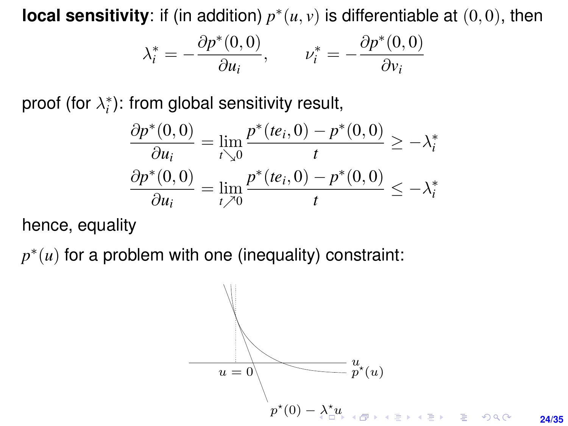<span id="page-23-0"></span>**local sensitivity**: if (in addition)  $p^*(u, v)$  is differentiable at  $(0, 0)$ , then

$$
\lambda_i^* = -\frac{\partial p^*(0,0)}{\partial u_i}, \qquad \nu_i^* = -\frac{\partial p^*(0,0)}{\partial \nu_i}
$$

proof (for  $\lambda_i^*$ ): from global sensitivity result, or  $\lambda_i^*$ ): from global sensiti ∂v<sup>i</sup>

$$
\frac{\partial p^*(0,0)}{\partial u_i} = \lim_{t \searrow 0} \frac{p^*(te_i,0) - p^*(0,0)}{t} \ge -\lambda_i^*
$$

$$
\frac{\partial p^*(0,0)}{\partial u_i} = \lim_{t \nearrow 0} \frac{p^*(te_i,0) - p^*(0,0)}{t} \le -\lambda_i^*
$$

hence, equality

 $p^*(u)$  for a problem with one (inequality) constraint:

$$
u = 0
$$
\n
$$
p^*(0) - \lambda_0^* u
$$
\n
$$
p^*(0) - \lambda_1^* u
$$
\n
$$
v = 1
$$
\n
$$
24/35
$$
\n
$$
24/35
$$
\n
$$
24/35
$$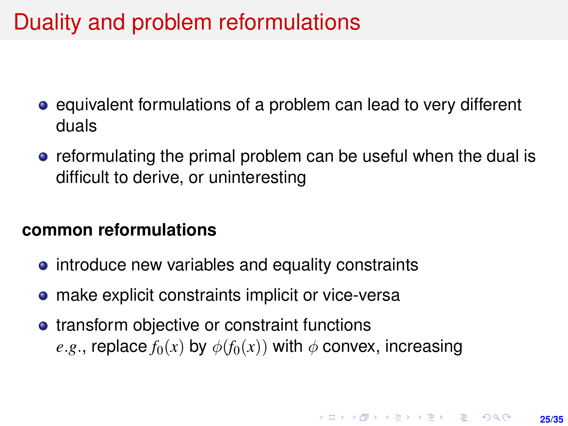# <span id="page-24-0"></span>Duality and problem reformulations

- equivalent formulations of a problem can lead to very different duals
- **•** reformulating the primal problem can be useful when the dual is difficult to derive, or uninteresting

#### **common reformulations**

- introduce new variables and equality constraints
- make explicit constraints implicit or vice-versa
- transform objective or constraint functions *e.g.*, replace  $f_0(x)$  by  $\phi(f_0(x))$  with  $\phi$  convex, increasing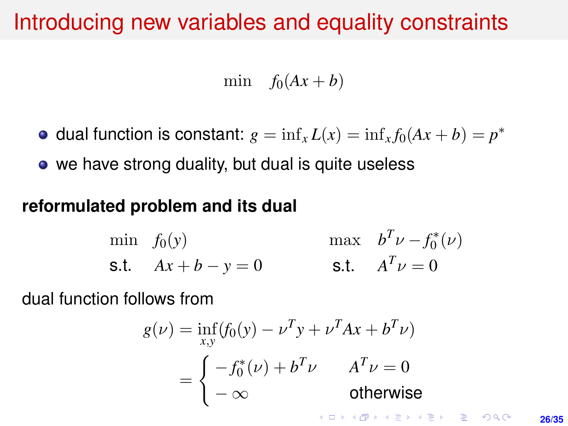## Introducing new variables and equality constraints

min  $f_0(Ax + b)$ 

- dual function is constant:  $g = \inf_x L(x) = \inf_x f_0(Ax + b) = p^*$
- we have strong duality, but dual is quite useless

#### **reformulated problem and its dual**

min 
$$
f_0(y)
$$
 max  $b^T \nu - f_0^*(\nu)$   
\ns.t.  $Ax + b - y = 0$  s.t.  $A^T \nu = 0$ 

dual function follows from

$$
g(\nu) = \inf_{x,y} (f_0(y) - \nu^T y + \nu^T A x + b^T \nu)
$$
  
= 
$$
\begin{cases} -f_0^*(\nu) + b^T \nu & A^T \nu = 0 \\ -\infty & \text{otherwise} \end{cases}
$$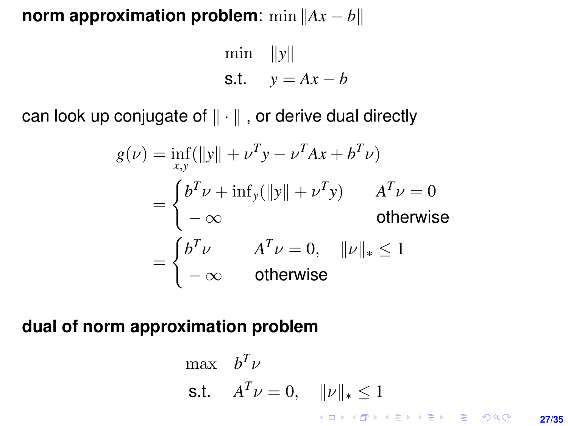#### **norm approximation problem**: min  $||Ax - b||$

$$
\begin{aligned}\n\min & \|y\| \\
\text{s.t.} & y = Ax - b\n\end{aligned}
$$

can look up conjugate of  $\|\cdot\|$  , or derive dual directly

$$
g(\nu) = \inf_{x,y} (\Vert y \Vert + \nu^T y - \nu^T A x + b^T \nu)
$$
  
= 
$$
\begin{cases} b^T \nu + \inf_y (\Vert y \Vert + \nu^T y) & A^T \nu = 0 \\ -\infty & \text{otherwise} \end{cases}
$$
  
= 
$$
\begin{cases} b^T \nu & A^T \nu = 0, & \Vert \nu \Vert_* \le 1 \\ -\infty & \text{otherwise} \end{cases}
$$

### **dual of norm approximation problem**

$$
\begin{array}{ll}\n\max & b^T \nu \\
\text{s.t.} & A^T \nu = 0, \quad \|\nu\|_* \le 1 \\
& \text{for all } \varepsilon \le \varepsilon \quad \text{for all } \varepsilon \le \varepsilon \quad \text{for all } \varepsilon \le 27/35\n\end{array}
$$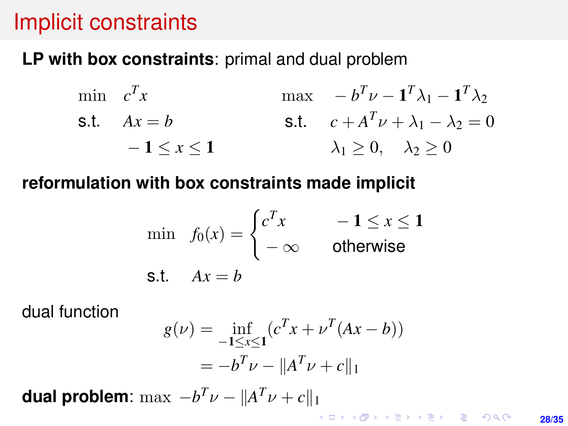## Implicit constraints

**LP with box constraints**: primal and dual problem

$$
\begin{array}{ll}\n\min \quad c^T x & \max \quad -b^T \nu - \mathbf{1}^T \lambda_1 - \mathbf{1}^T \lambda_2 \\
\text{s.t.} \quad Ax = b & \text{s.t.} \quad c + A^T \nu + \lambda_1 - \lambda_2 = 0 \\
- \mathbf{1} \le x \le \mathbf{1} & \lambda_1 \ge 0, \quad \lambda_2 \ge 0\n\end{array}
$$

#### **reformulation with box constraints made implicit**

$$
\min f_0(x) = \begin{cases} c^T x & -1 \le x \le 1 \\ -\infty & \text{otherwise} \end{cases}
$$
  
s.t.  $Ax = b$ 

dual function

$$
g(\nu) = \inf_{-1 \le x \le 1} (c^T x + \nu^T (Ax - b))
$$
  
=  $-b^T \nu - ||A^T \nu + c||_1$ 

**dual problem**:  $\max -b^T \nu - ||A^T \nu + c||_1$ 

**28/35**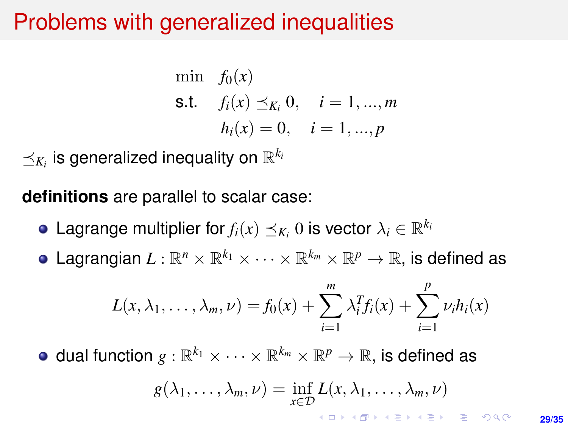## <span id="page-28-0"></span>Problems with generalized inequalities

min 
$$
f_0(x)
$$
  
\n**s.t.**  $f_i(x) \leq K_i, 0, \quad i = 1, ..., m$   
\n $h_i(x) = 0, \quad i = 1, ..., p$ 

 $\preceq_{K_i}$  is generalized inequality on  $\mathbb{R}^{k_i}$ 

**definitions** are parallel to scalar case:

- Lagrange multiplier for  $f_i(x) \preceq K_i} 0$  is vector  $\lambda_i \in \mathbb{R}^{k_i}$
- Lagrangian  $L:\mathbb{R}^n\times\mathbb{R}^{k_1}\times\cdots\times\mathbb{R}^{k_m}\times\mathbb{R}^p\rightarrow\mathbb{R},$  is defined as

$$
L(x, \lambda_1, \ldots, \lambda_m, \nu) = f_0(x) + \sum_{i=1}^m \lambda_i^T f_i(x) + \sum_{i=1}^p \nu_i h_i(x)
$$

dual function  $g: \mathbb{R}^{k_1} \times \cdots \times \mathbb{R}^{k_m} \times \mathbb{R}^p \rightarrow \mathbb{R},$  is defined as

$$
g(\lambda_1,\ldots,\lambda_m,\nu)=\inf_{x\in\mathcal{D}}L(x,\lambda_1,\ldots,\lambda_m,\nu)
$$

**29/35**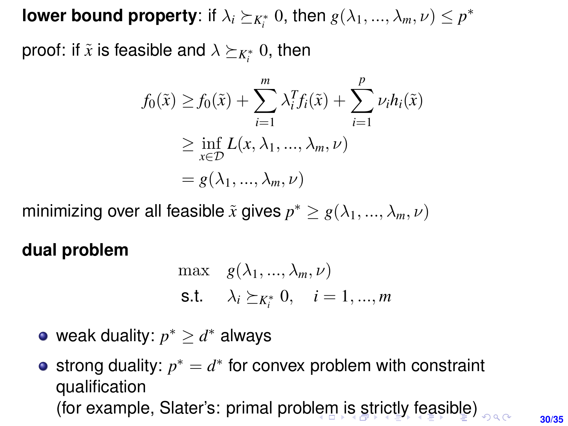<span id="page-29-0"></span>**lower bound property**: if  $\lambda_i \succeq_{K_i^*} 0$ , then  $g(\lambda_1, ..., \lambda_m, \nu) \leq p^*$ 

proof: if  $\tilde{x}$  is feasible and  $\lambda \succeq_{K_{i}^{\ast}} 0,$  then

$$
f_0(\tilde{x}) \ge f_0(\tilde{x}) + \sum_{i=1}^m \lambda_i^T f_i(\tilde{x}) + \sum_{i=1}^p \nu_i h_i(\tilde{x})
$$
  
\n
$$
\ge \inf_{x \in \mathcal{D}} L(x, \lambda_1, ..., \lambda_m, \nu)
$$
  
\n
$$
= g(\lambda_1, ..., \lambda_m, \nu)
$$

minimizing over all feasible  $\tilde{x}$  gives  $p^* \geq g(\lambda_1, ..., \lambda_m, \nu)$ 

**dual problem**

$$
\begin{aligned}\n\max \quad & g(\lambda_1, \dots, \lambda_m, \nu) \\
\text{s.t.} \quad & \lambda_i \succeq_{K_i^*} 0, \quad i = 1, \dots, m\n\end{aligned}
$$

weak duality:  $p^* \geq d^*$  always

strong duality:  $p^* = d^*$  for convex problem with constraint qualification (for examp[le](#page-28-0), Slater's: primal proble[m i](#page-30-0)[s](#page-28-0) [st](#page-29-0)[r](#page-30-0)[ict](#page-0-0)[ly](#page-34-0) [fe](#page-0-0)[as](#page-34-0)[ibl](#page-0-0)[e\)](#page-34-0)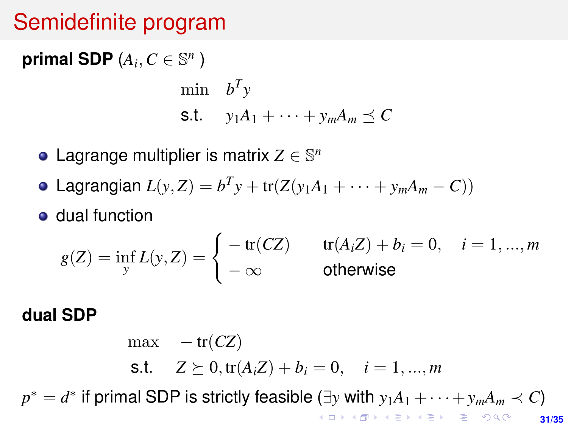## <span id="page-30-0"></span>Semidefinite program

**primal SDP**  $(A_i, C \in \mathbb{S}^n)$ 

$$
\begin{aligned}\n\min \quad & b^T y \\
\text{s.t.} \quad & y_1 A_1 + \dots + y_m A_m \preceq C\n\end{aligned}
$$

- Lagrange multiplier is matrix  $Z \in \mathbb{S}^n$
- Lagrangian  $L(y, Z) = b^T y + tr(Z(y_1 A_1 + \cdots + y_m A_m C))$
- **o** dual function

$$
g(Z) = \inf_{y} L(y, Z) = \begin{cases} -\operatorname{tr}(CZ) & \operatorname{tr}(A_i Z) + b_i = 0, \quad i = 1, ..., m \\ -\infty & \text{otherwise} \end{cases}
$$

### **dual SDP**

**31/35**  $max - tr(CZ)$ s.t.  $Z \succeq 0$ ,  $tr(A_i Z) + b_i = 0$ ,  $i = 1, ..., m$  $p^* = d^*$  if primal SDP is strictly feasible ([∃](#page-29-0)*y* with  $y_1A_1 + \cdots + y_mA_m \prec C$ )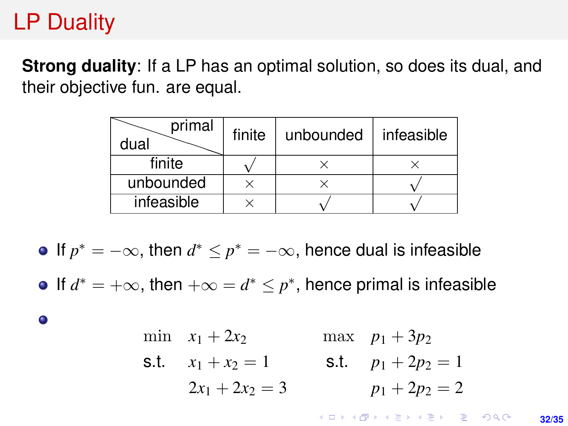# LP Duality

**Strong duality:** If a LP has an optimal solution, so does its dual, and their objective fun. are equal.

| primal<br>dual | finite | unbounded | infeasible |
|----------------|--------|-----------|------------|
| finite         |        |           |            |
| unbounded      |        |           |            |
| infeasible     |        |           |            |

If  $p^* = -\infty$ , then  $d^* \leq p^* = -\infty$ , hence dual is infeasible

If  $d^* = +\infty$ , then  $+\infty = d^* \leq p^*$ , hence primal is infeasible

 $\bullet$ 

min 
$$
x_1 + 2x_2
$$
 max  $p_1 + 3p_2$   
\ns.t.  $x_1 + x_2 = 1$  s.t.  $p_1 + 2p_2 = 1$   
\n $2x_1 + 2x_2 = 3$   $p_1 + 2p_2 = 2$ 

**KORKARK KERKER DRAM 32/35**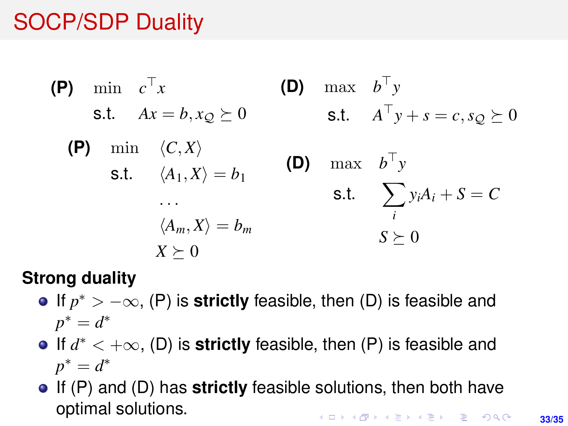# SOCP/SDP Duality

(P) min 
$$
c^{\top}x
$$

\ns.t.  $Ax = b, x_{Q} \succeq 0$ 

\n(P) min  $\langle C, X \rangle$ 

\ns.t.  $\langle A_{1}, X \rangle = b_{1}$ 

\n...

\n $\langle A_{m}, X \rangle = b_{m}$ 

\n...

\n $\langle A_{m}, X \rangle = b_{m}$ 

\n...

\n $\langle X_{m}, X \rangle = b_{m}$ 

\n $\langle X_{m}, X \rangle = b_{m}$ 

\n $\langle X_{m}, X \rangle = b_{m}$ 

\n $\langle X_{m}, X \rangle = b_{m}$ 

\n $\langle X_{m}, X \rangle = b_{m}$ 

\n $\langle X_{m}, X \rangle = b_{m}$ 

\n $\langle X_{m}, X \rangle = b_{m}$ 

\n $\langle X_{m}, X \rangle = b_{m}$ 

\n $\langle X_{m}, X \rangle = b_{m}$ 

#### **Strong duality**

- If *p* <sup>∗</sup> <sup>&</sup>gt; −∞, (P) is **strictly** feasible, then (D) is feasible and  $p^* = d^*$
- If *d* <sup>∗</sup> <sup>&</sup>lt; <sup>+</sup>∞, (D) is **strictly** feasible, then (P) is feasible and  $p^* = d^*$
- If (P) and (D) has **strictly** feasible solutions, then both have optimal solutions.**KORKARK KERKER DRAM**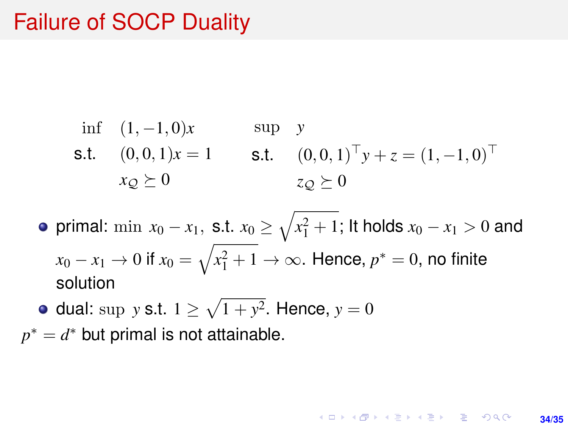## Failure of SOCP Duality

if 
$$
(1, -1, 0)x
$$
   
\n  $(0, 0, 1)x = 1$    
\n  $(0, 0, 1)^{\top} y + z = (1, -1, 0)^{\top}$    
\n  $x_Q \succeq 0$    
\n  $z_Q \succeq 0$ \n

primal:  $\min \ x_0 - x_1, \text{ s.t. } x_0 \geq \sqrt{x_1^2 + 1};$  It holds  $x_0 - x_1 > 0$  and  $x_0 - x_1 \to 0$  if  $x_0 = \sqrt{x_1^2 + 1} \to \infty$ . Hence,  $p^* = 0$ , no finite solution

**34/35**

**KORKARK A BIK BIKA A GA A GA A GA A BIKA A BIKA A BIKA A BIKA A BIKA A BIKA A BIKA A BIKA A BIKA A BIKA A BIKA** 

dual: sup *y* s.t.  $1 \ge \sqrt{1 + y^2}$ . Hence,  $y = 0$ 

 $p^* = d^*$  but primal is not attainable.